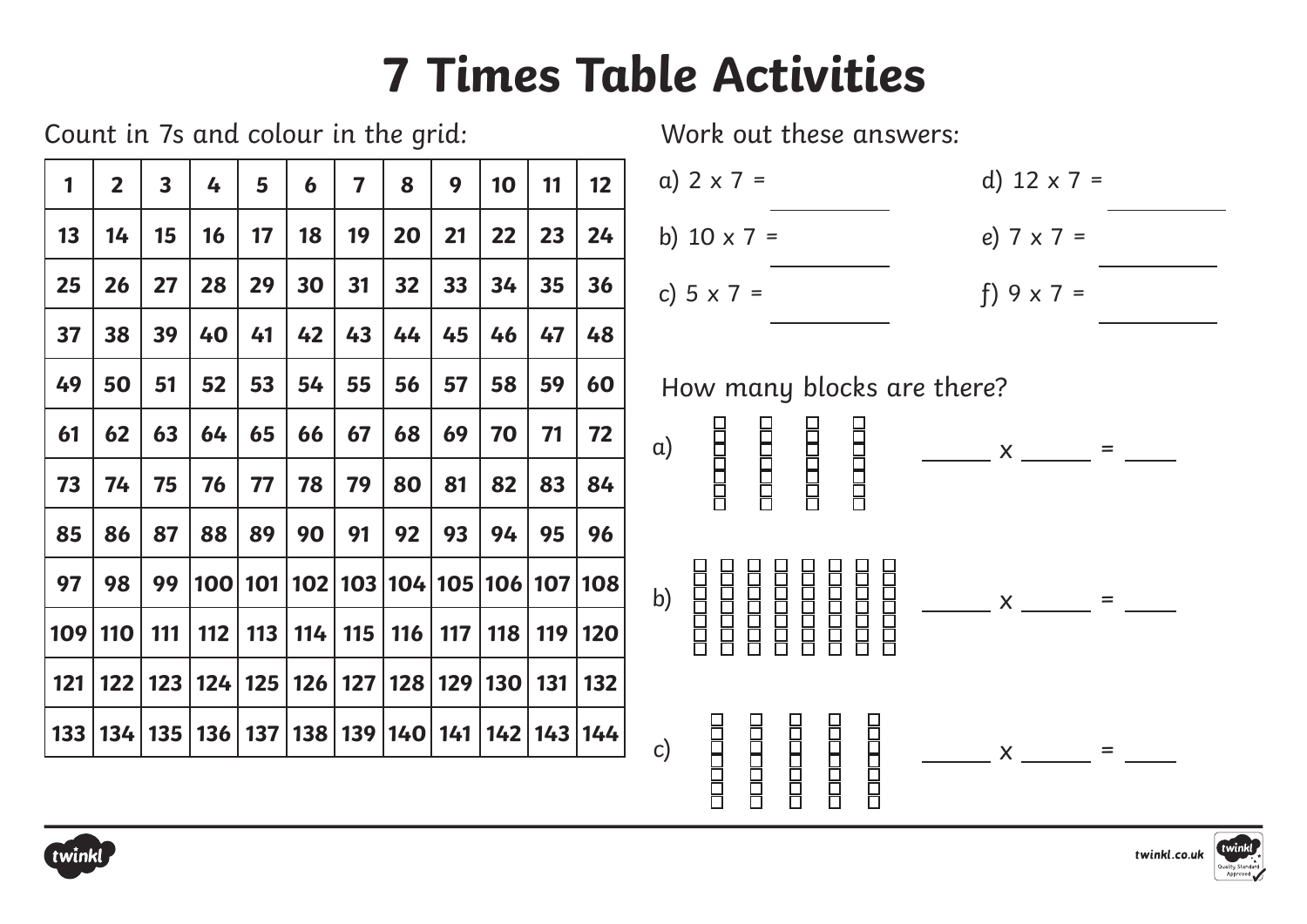## **7 Times Table Activities**

|              |                |                         | Count in 7s and colour in the grid: |    |    |                         |    |    |    |    |                                                                       | Work out these answers:                                                                                                                                                   |
|--------------|----------------|-------------------------|-------------------------------------|----|----|-------------------------|----|----|----|----|-----------------------------------------------------------------------|---------------------------------------------------------------------------------------------------------------------------------------------------------------------------|
| $\mathbf{1}$ | $\overline{2}$ | $\overline{\mathbf{3}}$ | 4                                   | 5  | 6  | $\overline{\mathbf{z}}$ | 8  | 9  | 10 | 11 | 12 <sup>°</sup>                                                       | a) $2 \times 7 =$<br>d) $12 \times 7 =$                                                                                                                                   |
| 13           | 14             | 15                      | 16                                  | 17 | 18 | 19                      | 20 | 21 | 22 | 23 | 24                                                                    | b) $10 \times 7 =$<br>e) $7 \times 7 =$                                                                                                                                   |
| 25           | 26             | 27                      | 28                                  | 29 | 30 | 31                      | 32 | 33 | 34 | 35 | 36                                                                    | c) $5 \times 7 =$<br>f) $9 \times 7 =$                                                                                                                                    |
| 37           | 38             | 39                      | 40                                  | 41 | 42 | 43                      | 44 | 45 | 46 | 47 | 48                                                                    |                                                                                                                                                                           |
| 49           | 50             | 51                      | 52                                  | 53 | 54 | 55                      | 56 | 57 | 58 | 59 | 60                                                                    | How many blocks are there?                                                                                                                                                |
| 61           | 62             | 63                      | 64                                  | 65 | 66 | 67                      | 68 | 69 | 70 | 71 | 72                                                                    | $\alpha$ )<br>$\mathsf{X}$ and $\mathsf{X}$<br>$=$                                                                                                                        |
| 73           | 74             | 75                      | 76                                  | 77 | 78 | 79                      | 80 | 81 | 82 | 83 | 84                                                                    | $\begin{array}{c} \begin{array}{c} \text{array} \end{array} \\ \begin{array}{c} \text{array} \end{array} \end{array}$<br><b>COCOCOC</b><br><b>THEFT</b><br><b>CICLERE</b> |
| 85           | 86             | 87                      | 88                                  | 89 | 90 | 91                      | 92 | 93 | 94 | 95 | 96                                                                    |                                                                                                                                                                           |
| 97           | 98             | 99                      |                                     |    |    |                         |    |    |    |    | 100 101 102 103 104 105 106 107 108                                   | b)<br>$\frac{1}{1}$ x $\frac{1}{1}$ =                                                                                                                                     |
|              | 109 110        |                         |                                     |    |    |                         |    |    |    |    | 111   112   113   114   115   116   117   118   119   120             | <b>THEFT</b><br><b>THEFT</b><br><b>Popper</b><br><b>THEFT</b>                                                                                                             |
| 121          |                |                         | 122   123   124   125               |    |    |                         |    |    |    |    | 126   127   128   129   130   131   132                               |                                                                                                                                                                           |
|              |                |                         |                                     |    |    |                         |    |    |    |    | 133   134   135   136   137   138   139   140   141   142   143   144 | $\mathsf{c}$<br>$\boldsymbol{\mathsf{X}}$                                                                                                                                 |
|              |                |                         |                                     |    |    |                         |    |    |    |    |                                                                       | ПЕЦЕЦИ<br><b>COCOCOCO</b><br>n<br>Budu                                                                                                                                    |